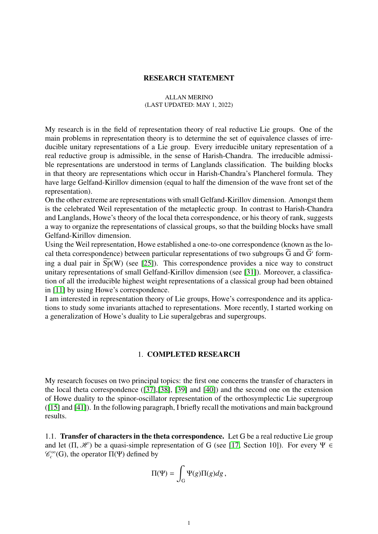### RESEARCH STATEMENT

#### ALLAN MERINO (LAST UPDATED: MAY 1, 2022)

My research is in the field of representation theory of real reductive Lie groups. One of the main problems in representation theory is to determine the set of equivalence classes of irreducible unitary representations of a Lie group. Every irreducible unitary representation of a real reductive group is admissible, in the sense of Harish-Chandra. The irreducible admissible representations are understood in terms of Langlands classification. The building blocks in that theory are representations which occur in Harish-Chandra's Plancherel formula. They have large Gelfand-Kirillov dimension (equal to half the dimension of the wave front set of the representation).

On the other extreme are representations with small Gelfand-Kirillov dimension. Amongst them is the celebrated Weil representation of the metaplectic group. In contrast to Harish-Chandra and Langlands, Howe's theory of the local theta correspondence, or his theory of rank, suggests a way to organize the representations of classical groups, so that the building blocks have small Gelfand-Kirillov dimension.

Using the Weil representation, Howe established a one-to-one correspondence (known as the local theta correspondence) between particular representations of two subgroups G and G' forming a dual pair in  $\widetilde{Sp}(W)$  (see [\[25\]](#page-9-0)). This correspondence provides a nice way to construct unitary representations of small Gelfand-Kirillov dimension (see [\[31\]](#page-9-1)). Moreover, a classification of all the irreducible highest weight representations of a classical group had been obtained in [\[11\]](#page-9-2) by using Howe's correspondence.

I am interested in representation theory of Lie groups, Howe's correspondence and its applications to study some invariants attached to representations. More recently, I started working on a generalization of Howe's duality to Lie superalgebras and supergroups.

### 1. COMPLETED RESEARCH

My research focuses on two principal topics: the first one concerns the transfer of characters in the local theta correspondence ([\[37\]](#page-10-0),[\[38\]](#page-10-1), [\[39\]](#page-10-2) and [\[40\]](#page-10-3)) and the second one on the extension of Howe duality to the spinor-oscillator representation of the orthosymplectic Lie supergroup ([\[15\]](#page-9-3) and [\[41\]](#page-10-4)). In the following paragraph, I briefly recall the motivations and main background results.

<span id="page-0-0"></span>1.1. Transfer of characters in the theta correspondence. Let G be a real reductive Lie group and let  $(\Pi, \mathcal{H})$  be a quasi-simple representation of G (see [\[17,](#page-9-4) Section 10]). For every  $\Psi \in$  $\mathcal{C}_c^{\infty}(G)$ , the operator  $\Pi(\Psi)$  defined by

$$
\Pi(\Psi)=\int_{\mathcal{G}}\Psi(g)\Pi(g)dg\,,
$$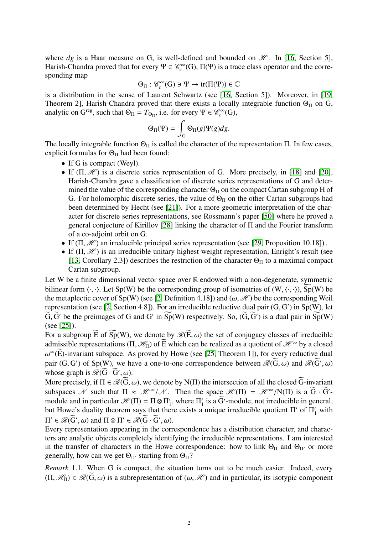where  $dg$  is a Haar measure on G, is well-defined and bounded on  $\mathcal{H}$ . In [\[16,](#page-9-5) Section 5], Harish-Chandra proved that for every  $\Psi \in \mathcal{C}_c^{\infty}(G)$ ,  $\Pi(\Psi)$  is a trace class operator and the corresponding map

$$
\Theta_{\Pi}:\mathscr{C}_c^\infty(G)\ni\Psi\to\mathrm{tr}(\Pi(\Psi))\in\mathbb{C}
$$

is a distribution in the sense of Laurent Schwartz (see [\[16,](#page-9-5) Section 5]). Moreover, in [\[19,](#page-9-6) Theorem 2], Harish-Chandra proved that there exists a locally integrable function  $\Theta_{\Pi}$  on G, analytic on  $G^{\text{reg}}$ , such that  $\Theta_{\Pi} = T_{\Theta_{\Pi}}$ , i.e. for every  $\Psi \in \mathcal{C}_c^{\infty}(G)$ ,

$$
\Theta_{\Pi}(\Psi) = \int_{G} \Theta_{\Pi}(g)\Psi(g)dg.
$$

The locally integrable function  $\Theta_{\Pi}$  is called the character of the representation  $\Pi$ . In few cases, explicit formulas for  $\Theta_{\Pi}$  had been found:

- If G is compact (Weyl).
- If  $(\Pi, \mathcal{H})$  is a discrete series representation of G. More precisely, in [\[18\]](#page-9-7) and [\[20\]](#page-9-8), Harish-Chandra gave a classification of discrete series representations of G and determined the value of the corresponding character  $\Theta_{\Pi}$  on the compact Cartan subgroup H of G. For holomorphic discrete series, the value of  $\Theta_{\Pi}$  on the other Cartan subgroups had been determined by Hecht (see [\[21\]](#page-9-9)). For a more geometric interpretation of the character for discrete series representations, see Rossmann's paper [\[50\]](#page-10-5) where he proved a general conjecture of Kirillov [\[28\]](#page-9-10) linking the character of Π and the Fourier transform of a co-adjoint orbit on G.
- If  $(\Pi, \mathcal{H})$  an irreducible principal series representation (see [\[29,](#page-9-11) Proposition 10.18]).
- If  $(\Pi, \mathcal{H})$  is an irreducible unitary highest weight representation, Enright's result (see [\[13,](#page-9-12) Corollary 2.3]) describes the restriction of the character  $\Theta_{\Pi}$  to a maximal compact Cartan subgroup.

Let W be a finite dimensional vector space over  $\mathbb R$  endowed with a non-degenerate, symmetric bilinear form  $\langle \cdot, \cdot \rangle$ . Let Sp(W) be the corresponding group of isometries of (W,  $\langle \cdot, \cdot \rangle$ ), Sp(W) be the metaplectic cover of Sp(W) (see [\[2,](#page-8-0) Definition 4.18]) and ( $\omega$ , H) be the corresponding Weil representation (see [\[2,](#page-8-0) Section 4.8]). For an irreducible reductive dual pair  $(G, G')$  in Sp(W), let  $\widetilde{G}$   $\widetilde{G}'$  be the preimages of  $G$  and  $G'$  in  $\widetilde{S}_{p}(W)$  respectively. So  $(\widetilde{G}, \widetilde{G}')$  is a dual pair in  $\widetilde{G}, \widetilde{G}'$  be the preimages of G and G' in  $\widetilde{Sp}(W)$  respectively. So,  $(\widetilde{G}, \widetilde{G}')$  is a dual pair in  $\widetilde{Sp}(W)$ <br>(see [251]) (see [\[25\]](#page-9-0)).

For a subgroup  $\widetilde{E}$  of  $\widetilde{Sp}(W)$ , we denote by  $\mathcal{R}(\widetilde{E}, \omega)$  the set of conjugacy classes of irreducible admissible representations (Π,  $\mathcal{H}_{\Pi}$ ) of  $\widetilde{E}$  which can be realized as a quotient of  $\mathcal{H}^{\infty}$  by a closed pair  $(G, G')$  of Sp(W), we have a one-to-one correspondence between  $\mathcal{R}(\widetilde{G}, \omega)$  and  $\mathcal{R}(\widetilde{G}', \omega)$  $\omega^{\infty}(\widetilde{E})$ -invariant subspace. As proved by Howe (see [\[25,](#page-9-0) Theorem 1]), for every reductive dual whose graph is  $\mathscr{R}(\widetilde{G}\cdot\widetilde{G}',\omega)$ .  $\frac{\partial}{\partial \widetilde{G}}$ .

More precisely, if  $\Pi \in \mathcal{R}(G, \omega)$ , we denote by N( $\Pi$ ) the intersection of all the closed G-invariant expression of all the choice  $G$  invariant expression  $\mathcal{L}$  such that  $\Pi \sim \mathcal{H}^{\infty} / \mathcal{N}$ . Then the space subspaces  $\mathcal N$  such that  $\Pi \approx \mathcal H^{\infty}/\mathcal N$ . Then the space  $\mathcal H(\Pi) = \mathcal H^{\infty}/N(\Pi)$  is a  $\tilde G \cdot \tilde G'$ -<br>module and in particular  $\mathcal H(\Pi) = \Pi \otimes \Pi'$ , where  $\Pi'$  is a  $\tilde G'$  module, not irreducible in general. module and in particular  $\mathcal{H}(\Pi) = \Pi \otimes \Pi_1'$  $T_1'$ , where  $\Pi_1'$  $\frac{1}{1}$  is a G<sup>'</sup>-module, not irreducible in general, but Howe's duality theorem says that there exists a unique irreducible quotient  $\Pi'$  of  $\Pi'_{1}$  with  $\Pi' \in \mathcal{R}(\widetilde{G}', \omega)$  and  $\Pi \otimes \Pi' \in \mathcal{R}(\widetilde{G} \cdot \widetilde{G}', \omega)$ .<br>Every representation appearing in the corr

Every representation appearing in the correspondence has a distribution character, and characters are analytic objects completely identifying the irreducible representations. I am interested in the transfer of characters in the Howe correspondence: how to link  $\Theta_{\Pi}$  and  $\Theta_{\Pi'}$  or more generally, how can we get  $\Theta_{\Pi'}$  starting from  $\Theta_{\Pi}$ ?

<span id="page-1-0"></span>*Remark* 1.1*.* When G is compact, the situation turns out to be much easier. Indeed, every  $(\Pi, \mathcal{H}_{\Pi}) \in \mathcal{R}(\bar{G}, \omega)$  is a subrepresentation of  $(\omega, \mathcal{H})$  and in particular, its isotypic component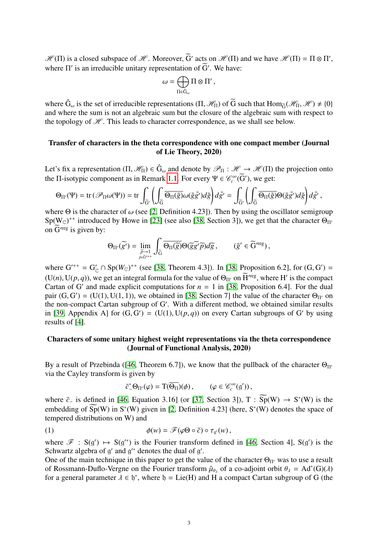$\mathcal{H}(\Pi)$  is a closed subspace of  $\mathcal{H}$ . Moreover,  $\tilde{G}'$  acts on  $\mathcal{H}(\Pi)$  and we have  $\mathcal{H}(\Pi) = \Pi \otimes \Pi'$ , where  $\Pi'$  is an irreducible unitary representation of  $\widetilde{G}'$ . We have:

$$
\omega=\bigoplus_{\Pi\in\hat{\mathbf{G}}_\omega}\Pi\otimes\Pi'\,,
$$

where  $\hat{G}_{\omega}$  is the set of irreducible representations  $(\Pi, \mathcal{H}_{\Pi})$  of  $\tilde{G}$  such that  $\text{Hom}_{\tilde{G}}(\mathcal{H}_{\Pi}, \mathcal{H}) \neq \{0\}$ <br>and where the sum is not an algebraic sum but the closure of the algebraic sum with resp and where the sum is not an algebraic sum but the closure of the algebraic sum with respect to the topology of  $\mathcal H$ . This leads to character correspondence, as we shall see below.

# Transfer of characters in the theta correspondence with one compact member (Journal of Lie Theory, 2020)

Let's fix a representation  $(\Pi, \mathcal{H}_{\Pi}) \in \hat{G}_{\omega}$  and denote by  $\mathcal{P}_{\Pi} : \mathcal{H} \to \mathcal{H}(\Pi)$  the projection onto the  $\Pi$  isotypic component as in Pennark 1.1. For every  $\Psi \in \mathcal{L}^{\infty}(\widetilde{G}')$ , we get: the  $\Pi$ -isotypic component as in Remark [1.1.](#page-1-0) For every  $\Psi \in \mathcal{C}_c^\infty(\widetilde{G}')$ , we get:

$$
\Theta_{\Pi'}(\Psi) = \text{tr}\left(\mathscr{P}_{\Pi}\omega(\Psi)\right) = \text{tr}\int_{\widetilde{G}'}\left(\int_{\widetilde{G}}\overline{\Theta_{\Pi}(\widetilde{g})}\omega(\widetilde{g}\widetilde{g}')d\widetilde{g}\right)d\widetilde{g}' = \int_{\widetilde{G}'}\left(\int_{\widetilde{G}}\overline{\Theta_{\Pi}(\widetilde{g})}\Theta(\widetilde{g}\widetilde{g}')d\widetilde{g}\right)d\widetilde{g}',
$$

where  $\Theta$  is the character of  $\omega$  (see [\[2,](#page-8-0) Definition 4.23]). Then by using the oscillator semigroup Sp(W<sub>C</sub>)<sup>++</sup> introduced by Howe in [\[23\]](#page-9-13) (see also [\[38,](#page-10-1) Section 3]), we get that the character  $\Theta_{\Pi}$ on  $\widetilde{G}^{\prime reg}$  is given by:

$$
\Theta_{\Pi'}(\widetilde{g'}) = \lim_{\substack{\widetilde{p}\to 1 \\ \widetilde{p}\in \widetilde{G}^{r+1}}} \int_{\widetilde{G}} \overline{\Theta_{\Pi}(\widetilde{g})} \Theta(\widetilde{g}\widetilde{g'}\widetilde{p}) d\widetilde{g}, \qquad (\widetilde{g}' \in \widetilde{G}'^{\text{reg}}),
$$

where  $G^{++} = G'_C \cap Sp(W_C)^{++}$  (see [\[38,](#page-10-1) Theorem 4.3]). In [38, Proposition 6.2], for  $(G, G') =$ <br>(U(x) U(n, x)) we get an integral formula for the value of  $\Omega$ , on  $\widetilde{U}^{\text{reg}}$  where  $U'$  is the compact  $(U(n), U(p, q))$ , we get an integral formula for the value of  $\Theta_{\Pi'}$  on  $\overline{H}^{\text{reg}}$ , where H' is the compact Cartan of G' and made explicit computations for  $n = 1$  in [38] Proposition 6.41. For the dual Cartan of G' and made explicit computations for  $n = 1$  in [\[38,](#page-10-1) Proposition 6.4]. For the dual pair  $(G, G') = (U(1), U(1, 1))$ , we obtained in [\[38,](#page-10-1) Section 7] the value of the character  $\Theta_{\Pi'}$  on the non-compact Cartan subgroup of  $G'$ . With a different method, we obtained similar results the non-compact Cartan subgroup of G'. With a different method, we obtained similar results in [\[39,](#page-10-2) Appendix A] for  $(G, G') = (U(1), U(p, q))$  on every Cartan subgroups of G' by using results of [4] results of [\[4\]](#page-8-1).

# Characters of some unitary highest weight representations via the theta correspondence (Journal of Functional Analysis, 2020)

By a result of Przebinda ([\[46,](#page-10-6) Theorem 6.7]), we know that the pullback of the character  $\Theta_{\Pi'}$ via the Cayley transform is given by

$$
\tilde{c}_-^*\Theta_{\Pi'}(\varphi) = \mathrm{T}(\overline{\Theta_{\Pi}})(\phi)\,, \qquad (\varphi \in \mathscr{C}_c^{\infty}(\mathfrak{g}'))\,,
$$

where  $\tilde{c}_-$  is defined in [46, Equation 3.16] (or [37, Section 3]), T :  $\overline{Sp}(W) \rightarrow S^*(W)$  is the $\tilde{c}_-$  is defined in [46, Equation 3.16] (or [37, Section 3]), T :  $\overline{Sp}(W) \rightarrow S^*(W)$  is the $\tilde{c}_-$  is defined in [46, Equation 3.16] (or [37, Section 3]), T :  $\overline{Sp}(W) \rightarrow S^*(W)$  is the $\tilde{c}_-$  is defined in [46, Equation 3.16] (or [37, Section 3]), T :  $\overline{Sp}(W) \rightarrow S^*(W)$  is the $\tilde{c}_-$  is defined in [46, Equation 3.16] (or [37, Section 3]), T :  $\overline{Sp}(W) \rightarrow S^*(W)$  is theembedding of  $\widetilde{Sp}(W)$  in S<sup>∗</sup>(W) given in [\[2,](#page-8-0) Definition 4.23] (here, S<sup>∗</sup>(W) denotes the space of tempered distributions on W) and

(1) 
$$
\phi(w) = \mathscr{F}(\varphi \Theta \circ \tilde{c}) \circ \tau_{g'}(w),
$$

where  $\mathscr{F}$  :  $S(g') \mapsto S(g'^*)$  is the Fourier transform defined in [\[46,](#page-10-6) Section 4],  $S(g')$  is the Schwartz algebra of  $g'$  and  $g'^*$  denotes the dual of  $g'$ .

One of the main technique in this paper to get the value of the character  $\Theta_{\Pi'}$  was to use a result of Rossmann-Duflo-Vergne on the Fourier transform  $\hat{\mu}_{\theta_{\lambda}}$  of a co-adjoint orbit  $\theta_{\lambda} = Ad^*(G)(\lambda)$ <br>for a general parameter  $\lambda \in \mathbb{N}^*$  where  $\mathfrak{h} = \text{Lie}(H)$  and H a compact Cartan subgroup of G (the for a general parameter  $\lambda \in \mathfrak{h}^*$ , where  $\mathfrak{h} = \text{Lie}(H)$  and H a compact Cartan subgroup of G (the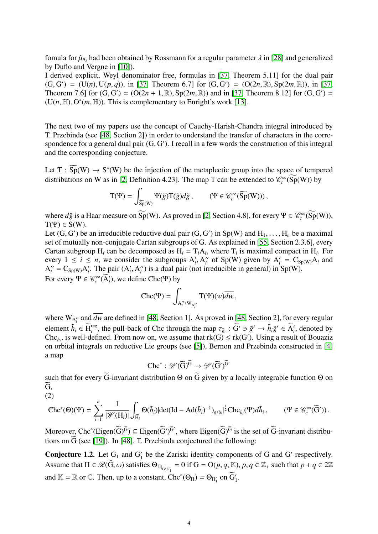fomula for  $\hat{\mu}_{\theta_{\lambda}}$  had been obtained by Rossmann for a regular parameter  $\lambda$  in [\[28\]](#page-9-10) and generalized<br>by Duflo and Vergne in [101] by Duflo and Vergne in [\[10\]](#page-9-14)).

I derived explicit, Weyl denominator free, formulas in [\[37,](#page-10-0) Theorem 5.11] for the dual pair  $(G, G') = (U(n), U(p, q)),$  in [\[37,](#page-10-0) Theorem 6.7] for  $(G, G') = (O(2n, \mathbb{R}), Sp(2m, \mathbb{R}))$ , in [37, Theorem 7.6] for  $(G, G') = (O(2n + 1, \mathbb{R}) \cdot Sp(2m, \mathbb{R}))$  and in [37, Theorem 8.12] for  $(G, G') =$ Theorem 7.6] for  $(G, G') = (O(2n + 1, \mathbb{R}), Sp(2m, \mathbb{R}))$  and in [\[37,](#page-10-0) Theorem 8.12] for  $(G, G') = (U(n, \mathbb{H}) \cap C^*(m, \mathbb{H}))$ . This is complementary to Enright's work [13]  $(U(n, \mathbb{H}), O^*(m, \mathbb{H}))$ . This is complementary to Enright's work [\[13\]](#page-9-12).

The next two of my papers use the concept of Cauchy-Harish-Chandra integral introduced by T. Przebinda (see [\[48,](#page-10-7) Section 2]) in order to understand the transfer of characters in the correspondence for a general dual pair  $(G, G')$ . I recall in a few words the construction of this integral<br>and the corresponding conjecture and the corresponding conjecture.

Let  $T : \widetilde{Sp}(W) \to S^*(W)$  be the injection of the metaplectic group into the space of tempered distributions on W as in [\[2,](#page-8-0) Definition 4.23]. The map T can be extended to  $\mathcal{C}_c^{\infty}(\overline{Sp}(W))$  by

$$
\mathord{\text{\rm T}}(\Psi) = \int_{\widetilde{\textnormal{Sp}}(W)} \Psi(\tilde{g}) \mathord{\text{\rm T}}(\tilde{g}) d\tilde{g} \,, \qquad (\Psi \in \mathscr{C}_c^\infty(\widetilde{\textnormal{Sp}}(W))) \,,
$$

where  $d\tilde{g}$  is a Haar measure on  $\widetilde{Sp}(W)$ . As proved in [\[2,](#page-8-0) Section 4.8], for every  $\Psi \in \mathcal{C}_c^{\infty}(\widetilde{Sp}(W))$ ,  $T(\Psi) \in S(W)$ .

Let  $(G, G')$  be an irreducible reductive dual pair  $(G, G')$  in Sp(W) and  $H_1, \ldots, H_n$  be a maximal<br>set of mutually non-conjugate Cartan subgroups of G. As explained in [55, Section 2,3,6], every set of mutually non-conjugate Cartan subgroups of G. As explained in [\[55,](#page-10-8) Section 2.3.6], every Cartan subgroup H<sub>*i*</sub> can be decomposed as  $H_i = T_i A_i$ , where  $T_i$  is maximal compact in  $H_i$ . For every  $1 \le i \le n$ , we consider the subgroups  $A'_i$ ,  $A''_i$ <br> $A'' - C_0$  and  $A'$ . The pair  $(A' \ A'')$  is a dual pair (pot in  $i'$  of Sp(W) given by  $A'_i = C_{Sp(W)}A_i$  and  $A_i'' = C_{Sp(W)}A_i'$ *i*. The pair  $(A'_i, A''_i)$ <br>  $\mathscr{L}^{\infty}(\widetilde{A}')$  we define  $i'$ ) is a dual pair (not irreducible in general) in Sp(W). For every  $\Psi \in \mathcal{C}_c^{\infty}(\overline{A}_i)$ , we define Chc(Ψ) by

$$
\text{Chc}(\Psi) = \int_{A_i'' \backslash W_{A_i''}} T(\Psi)(w) \overline{dw},
$$

where  $W_{A_i^{\prime\prime}}$  and *dw* are defined in [\[48,](#page-10-7) Section 1]. As proved in [48, Section 2], for every regular element  $\tilde{h}_i \in \widetilde{H}_i^{\text{reg}}$ , the pull-back of Chc through the map  $\tau_{\tilde{h}_i} : \widetilde{G}' \ni \tilde{g}' \to \tilde{h}_i \tilde{g}' \in \widetilde{A}_i'$ , denoted by Chc; is well-defined. From now on we assume that  $\text{rk}(G) < \text{rk}(G')$ . Using a res Chc<sub> $\tilde{h}_i$ , is well-defined. From now on, we assume that  $rk(G) \leq rk(G')$ . Using a result of Bouaziz</sub> on orbital integrals on reductive Lie groups (see [\[5\]](#page-9-15)), Bernon and Przebinda constructed in [\[4\]](#page-8-1) a map

$$
\operatorname{Chc}^* : \mathscr{D}'(\widetilde{G})^{\widetilde{G}} \to \mathscr{D}'(\widetilde{G}')^{\widetilde{G}'}
$$

such that for every G-invariant distribution  $\Theta$  on G given by a locally integrable function  $\Theta$  on  $\widetilde{G}$ , (2)

<span id="page-3-1"></span>
$$
\operatorname{Chc}^*(\Theta)(\Psi)=\sum_{i=1}^n\frac{1}{|\mathscr{W}(H_i)|}\int_{\widetilde{H_i}}\Theta(\tilde{h}_i)|\text{det}(\text{Id}-\text{Ad}(\tilde{h}_i)^{-1})_{\mathfrak{g}/\mathfrak{h}_i}|^{\frac{1}{2}}\text{Chc}_{\tilde{h}_i}(\Psi)d\tilde{h}_i\,,\qquad (\Psi\in\mathscr{C}_c^\infty(\widetilde{G}'))\,.
$$

Moreover, Chc<sup>∗</sup>(Eigen( $\widetilde{G}$ )<sup> $\widetilde{G}$ </sup>  $\subseteq$  Eigen( $\widetilde{G}$ ')<sup> $\widetilde{G}$ </sup>, where Eigen( $\widetilde{G}$ )<sup> $\widetilde{G}$ </sup> is the set of  $\widetilde{G}$ -invariant distributions on  $\widetilde{G}$  (see [\[19\]](#page-9-6)). In [\[48\]](#page-10-7), T. Przebinda conjectured the following:

<span id="page-3-0"></span>**Conjecture 1.2.** Let  $G_1$  and  $G'_1$  be the Zariski identity components of G and G' respectively. Assume that  $\Pi \in \mathcal{R}(\overline{G}, \omega)$  satisfies  $\Theta_{\Pi|_{\overline{G}(\overline{G})}} = 0$  if  $G = O(p, q, \mathbb{K}), p, q \in \mathbb{Z}_+$  such that  $p + q \in 2\mathbb{Z}$ and  $\mathbb{K} = \mathbb{R}$  or  $\mathbb{C}$ . Then, up to a constant,  $Chc^*(\Theta_{\Pi}) = \Theta_{\Pi'_1}$  on  $\widetilde{G}'_1$ .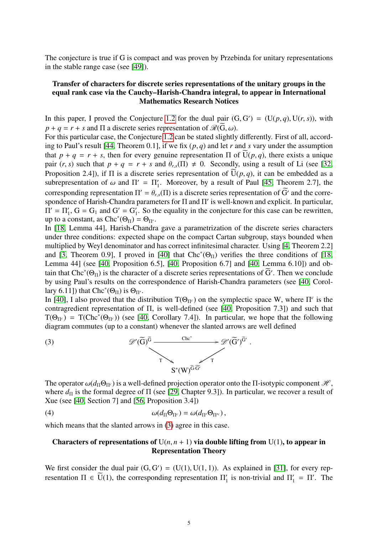The conjecture is true if G is compact and was proven by Przebinda for unitary representations in the stable range case (see [\[49\]](#page-10-9)).

# Transfer of characters for discrete series representations of the unitary groups in the equal rank case via the Cauchy–Harish-Chandra integral, to appear in International Mathematics Research Notices

In this paper, I proved the Conjecture [1.2](#page-3-0) for the dual pair  $(G, G') = (U(p, q), U(r, s))$ , with  $p + q = r + s$  and  $\Pi$  a discrete series representation of  $\mathcal{U}(\widetilde{G}, \omega)$ .  $p + q = r + s$  and  $\Pi$  a discrete series representation of  $\mathcal{R}(G, \omega)$ .

For this particular case, the Conjecture [1.2](#page-3-0) can be stated slightly differently. First of all, according to Paul's result [\[44,](#page-10-10) Theorem 0.1], if we fix (*p*, *<sup>q</sup>*) and let *<sup>r</sup>* and *<sup>s</sup>* vary under the assumption that  $p + q = r + s$ , then for every genuine representation  $\Pi$  of  $U(p, q)$ , there exists a unique pair  $(r, s)$  such that  $p + q = r + s$  and  $\theta_{rs}(\Pi) \neq 0$ . Secondly, using a result of Li (see [\[32,](#page-10-11) Proposition 2.4]), if  $\Pi$  is a discrete series representation of  $\overline{U}(p,q)$ , it can be embedded as a subrepresentation of  $\omega$  and  $\Pi' = \Pi'_1$ . Moreover, by a result of Paul [\[45,](#page-10-12) Theorem 2.7], the corresponding representation  $\Pi' = \theta_1(\Pi)$  is a discrete series representation of  $\widetilde{C}'$  and the series corresponding representation  $\Pi' = \theta_{r,s}(\Pi)$  is a discrete series representation of  $\widetilde{G}'$  and the corre-<br>spondence of Harish-Chandra parameters for  $\Pi$  and  $\Pi'$  is well-known and explicit. In particular spondence of Harish-Chandra parameters for Π and Π' is well-known and explicit. In particular,  $\Pi' = \Pi'_1$ ,  $G = G_1$  and  $G' = G'_1$  $\frac{1}{1}$ . So the equality in the conjecture for this case can be rewritten, up to a constant, as  $\text{Chc}^*(\Theta_{\Pi}) = \Theta_{\Pi'}$ .

In [\[18,](#page-9-7) Lemma 44], Harish-Chandra gave a parametrization of the discrete series characters under three conditions: expected shape on the compact Cartan subgroup, stays bounded when multiplied by Weyl denominator and has correct infinitesimal character. Using [\[4,](#page-8-1) Theorem 2.2] and [\[3,](#page-8-2) Theorem 0.9], I proved in [\[40\]](#page-10-3) that  $Chc^*(\Theta_{\Pi})$  verifies the three conditions of [\[18,](#page-9-7) Lemma 44] (see [\[40,](#page-10-3) Proposition 6.5], [\[40,](#page-10-3) Proposition 6.7] and [\[40,](#page-10-3) Lemma 6.10]) and obtain that Chc<sup>∗</sup>( $\Theta_{\Pi}$ ) is the character of a discrete series representations of  $\widetilde{G}'$ . Then we conclude by using Paul's results on the correspondence of Harish-Chandra parameters (see [\[40,](#page-10-3) Corollary 6.11]) that  $\text{Chc}^*(\Theta_{\Pi})$  is  $\Theta_{\Pi'}$ .

In [\[40\]](#page-10-3), I also proved that the distribution  $T(\Theta_{\Pi^c})$  on the symplectic space W, where  $\Pi^c$  is the contragredient representation of Π, is well-defined (see [\[40,](#page-10-3) Proposition 7.3]) and such that  $T(\Theta_{\Pi^c}) = T(\text{Chc}^*(\Theta_{\Pi^c}))$  (see [\[40,](#page-10-3) Corollary 7.4]). In particular, we hope that the following diagram commutes (up to a constant) whenever the slanted arrows are well defined

<span id="page-4-0"></span>

The operator  $\omega(d_{\Pi}\Theta_{\Pi^c})$  is a well-defined projection operator onto the Π-isotypic component  $\mathcal{H}$ , where  $d_{\Pi}$  is the formal degree of  $\Pi$  (see [\[29,](#page-9-11) Chapter 9.3]). In particular, we recover a result of Xue (see [\[40,](#page-10-3) Section 7] and [\[56,](#page-10-13) Proposition 3.4])

(4) 
$$
\omega(d_{\Pi}\Theta_{\Pi^c}) = \omega(d_{\Pi'}\Theta_{\Pi'^c}),
$$

which means that the slanted arrows in  $(3)$  agree in this case.

# Characters of representations of  $U(n, n + 1)$  via double lifting from  $U(1)$ , to appear in Representation Theory

We first consider the dual pair  $(G, G') = (U(1), U(1, 1))$ . As explained in [\[31\]](#page-9-1), for every representation  $\Pi \in \widetilde{U}(1)$ , the corresponding representation  $\Pi'$  is non-trivial and  $\Pi' = \Pi'$ . The resentation  $\Pi \in \overline{U}(1)$ , the corresponding representation  $\Pi_1'$  $I_1'$  is non-trivial and  $\Pi_1' = \Pi'$ . The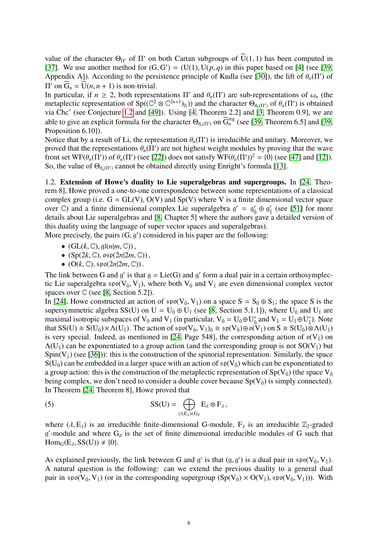value of the character  $\Theta_{\Pi'}$  of  $\Pi'$  on both Cartan subgroups of  $\overline{U}(1,1)$  has been computed in [37]. We use another method for  $(G, G') = (U(1), U(n, a))$  in this paper based on [4] (see [39] [\[37\]](#page-10-0). We use another method for  $(G, G') = (U(1), U(p, q))$  in this paper based on [\[4\]](#page-8-1) (see [\[39,](#page-10-2) Appendix A1) According to the persistence principle of Kudla (see [301) the lift of  $\theta$  ( $\Pi'$ ) of Appendix A]). According to the persistence principle of Kudla (see [\[30\]](#page-9-16)), the lift of  $\theta_n(\Pi')$  of  $\Pi'$  on  $\widetilde{G} = \widetilde{\Pi}(n, n+1)$  is non-trivial. II' on  $\tilde{G}_n = \tilde{U}(n, n + 1)$  is non-trivial.<br>In particular if  $n > 2$  both represe

In particular, if  $n \ge 2$ , both representations  $\Pi'$  and  $\theta_n(\Pi')$ In particular, if  $n \ge 2$ , both representations Π' and  $\theta_n(\Pi')$  are sub-representations of  $\omega_n$  (the metaplectic representation of Sp((C<sup>2</sup> ⊗ C<sup>2*n*+1</sup>)<sub>R</sub>)) and the character Θ<sub>θ*n*(Π')</sub> of θ*n*(Π') is obtained via Chc via Chc<sup>∗</sup> (see Conjecture [1.2](#page-3-0) and [\[49\]](#page-10-9)). Using [\[4,](#page-8-1) Theorem 2.2] and [\[3,](#page-8-2) Theorem 0.9], we are able to give an explicit formula for the character  $\Theta_{\theta_n(\Pi')}$  on  $\widetilde{G}_n^{\text{reg}}$  (see [\[39,](#page-10-2) Theorem 6.5] and [39, Proposition 6.101) Proposition 6.10]).

Notice that by a result of Li, the representation  $\theta_n(\Pi')$  is irreducible and unitary. Moreover, we proved that the representations  $\theta_n(\Pi')$  are not highest weight modules by proving that the wave proved that the representations  $\theta_n(\Pi')$  are not highest weight modules by proving that the wave<br>front set WE( $\theta$  ( $\Pi'$ )) of  $\theta$  ( $\Pi'$ ) (see [22]) does not satisfy WE( $\theta$  ( $\Pi'$ ))<sup>2</sup> – {0} (see [47] and [12]) front set WF( $\theta_n(\Pi')$ ) of  $\theta_n(\Pi')$  (see [\[22\]](#page-9-17)) does not satisfy WF( $\theta_n(\Pi')^2 = \{0\}$  (see [\[47\]](#page-10-14) and [\[12\]](#page-9-18)).<br>So the value of  $\Theta_{\theta}$  as cannot be obtained directly using Enright's formula [13] So, the value of  $\Theta_{\theta_n(\Pi')}$  cannot be obtained directly using Enright's formula [\[13\]](#page-9-12).

<span id="page-5-0"></span>1.2. Extension of Howe's duality to Lie superalgebras and supergroups. In [\[24,](#page-9-19) Theorem 8], Howe proved a one-to-one correspondence between some representations of a classical complex group (i.e.  $G = GL(V)$ ,  $O(V)$  and  $Sp(V)$  where V is a finite dimensional vector space over  $\mathbb{C}$ ) and a finite dimensional complex Lie superalgebra  $g' = g'_0 \oplus g'_1$  (see [\[51\]](#page-10-15) for more details about Lie superalgebras and [\[8,](#page-9-20) Chapter 5] where the authors gave a detailed version of this duality using the language of super vector spaces and superalgebras).

More precisely, the pairs  $(G, g')$  considered in his paper are the following:

- $(GL(k, \mathbb{C}), \mathfrak{gl}(n|m, \mathbb{C}))$ ,
- $(Sp(2k, \mathbb{C}), \mathfrak{osp}(2n|2m, \mathbb{C}))$ ,
- $\bullet$  (O(k, C),  $\mathfrak{spo}(2n|2m,\mathbb{C})$ ).

The link between G and  $g'$  is that  $g = Lie(G)$  and  $g'$  form a dual pair in a certain orthosymplectic Lie superalgebra  $\mathfrak{sp}(V_{\bar{0}}, V_{\bar{1}})$ , where both  $V_{\bar{0}}$  and  $V_{\bar{1}}$  are even dimensional complex vector spaces over  $\mathbb C$  (see [\[8,](#page-9-20) Section 5.2]).

In [\[24\]](#page-9-19), Howe constructed an action of  $\text{spo}(V_{\bar{0}}, V_{\bar{1}})$  on a space  $S = S_{\bar{0}} \oplus S_{\bar{1}}$ ; the space S is the supersymmetric algebra SS(U) on U =  $U_{\bar{0}} \oplus U_{\bar{1}}$  (see [\[8,](#page-9-20) Section 5.1.1]), where  $U_{\bar{0}}$  and  $U_{\bar{1}}$  are maximal isotropic subspaces of  $V_{\bar{0}}$  and  $V_{\bar{1}}$  (in particular,  $V_{\bar{0}} = U_{\bar{0}} \oplus U_{\bar{0}}^*$  and  $V_{\bar{1}} = U_{\bar{1}} \oplus U_{\bar{1}}^*$ ). Note that  $SS(U) \cong S(U_{\bar{0}}) \times \Lambda(U_{\bar{1}})$ . The action of  $\mathfrak{spo}(V_{\bar{0}}, V_{\bar{1}})_{\bar{0}} \cong \mathfrak{sp}(V_{\bar{0}}) \oplus \mathfrak{o}(V_{\bar{1}})$  on  $S \cong S(U_{\bar{0}}) \otimes \Lambda(U_{\bar{1}})$ is very special. Indeed, as mentioned in [\[24,](#page-9-19) Page 548], the corresponding action of  $\mathfrak{o}(V_{\bar{1}})$  on  $\Lambda(U_{\bar{1}})$  can be exponentiated to a group action (and the corresponding group is not  $SO(V_{\bar{1}})$  but  $Spin(V<sub>1</sub>)$  (see [\[36\]](#page-10-16))): this is the construction of the spinorial representation. Similarly, the space  $S(U_{\bar{0}})$  can be embedded in a larger space with an action of  $\mathfrak{sp}(V_{\bar{0}})$  which can be exponentiated to a group action: this is the construction of the metaplectic representation of  $Sp(V_{\bar{0}})$  (the space  $V_{\bar{0}}$ being complex, we don't need to consider a double cover because  $Sp(V_{\bar{0}})$  is simply connected). In Theorem [\[24,](#page-9-19) Theorem 8], Howe proved that

<span id="page-5-1"></span>(5) 
$$
SS(U) = \bigoplus_{(\lambda, E_{\lambda}) \in G_d} E_{\lambda} \otimes F_{\lambda},
$$

where  $(\lambda, E_{\lambda})$  is an irreducible finite-dimensional G-module,  $F_{\lambda}$  is an irreducible  $\mathbb{Z}_2$ -graded  $g'$ -module and where  $G_d$  is the set of finite dimensional irreducible modules of G such that  $Hom_G(E_\lambda, SS(U)) \neq \{0\}.$ 

As explained previously, the link between G and g' is that  $(g, g')$  is a dual pair in  $\mathfrak{spo}(V_{\bar{0}}, V_{\bar{1}})$ .<br>A natural question is the following: can we extend the previous duality to a general dual A natural question is the following: can we extend the previous duality to a general dual pair in  $\mathfrak{spo}(V_{\bar{0}}, V_{\bar{1}})$  (or in the corresponding supergroup  $(Sp(V_{\bar{0}}) \times O(V_{\bar{1}}), \mathfrak{spo}(V_{\bar{0}}, V_{\bar{1}}))$ ). With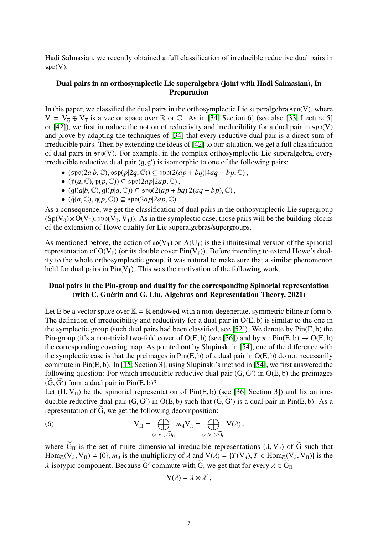Hadi Salmasian, we recently obtained a full classification of irreducible reductive dual pairs in  $\mathfrak{spo}(V)$ .

## Dual pairs in an orthosymplectic Lie superalgebra (joint with Hadi Salmasian), In Preparation

In this paper, we classified the dual pairs in the orthosymplectic Lie superalgebra  $\mathfrak{spo}(V)$ , where  $V = V_0 + V_1$  is a vector space over R or C. As in [\[34,](#page-10-17) Section 6] (see also [\[33,](#page-10-18) Lecture 5] or  $[42]$ ), we first introduce the notion of reductivity and irreducibility for a dual pair in  $\mathfrak{spo}(V)$ and prove by adapting the techniques of [\[34\]](#page-10-17) that every reductive dual pair is a direct sum of irreducible pairs. Then by extending the ideas of [\[42\]](#page-10-19) to our situation, we get a full classification of dual pairs in spo(V). For example, in the complex orthosymplectic Lie superalgebra, every irreducible reductive dual pair  $(g, g')$  is isomorphic to one of the following pairs:<br> $\mathcal{L}(\text{cm}^2/\text{cm}^2) \times \mathcal{L}(\text{cm}^2/\text{cm}^2) \times \mathcal{L}(\text{cm}^2/\text{cm}^2)$ 

- (spo(2*a*|*b*,C), osp(*p*|2*q*,C)) <sup>⊆</sup> spo(2(*ap* <sup>+</sup> *bq*)|4*aq* <sup>+</sup> *bp*,C) ,
- $(\tilde{p}(a, \mathbb{C}), p(p, \mathbb{C})) \subseteq \mathfrak{spo}(2ap|2ap, \mathbb{C}),$
- (gl(*a*|*b*,C), gl(*p*|*q*,C)) <sup>⊆</sup> spo(2(*ap* <sup>+</sup> *bq*)|2(*aq* <sup>+</sup> *bp*),C) ,
- $(\tilde{q}(a, \mathbb{C}), q(p, \mathbb{C})) \subseteq \mathfrak{spo}(2ap|2ap, \mathbb{C})$ .

As a consequence, we get the classification of dual pairs in the orthosymplectic Lie supergroup  $(Sp(V_{\bar{0}}) \times O(V_{\bar{1}}),$  spo $(V_{\bar{0}}, V_{\bar{1}})$ ). As in the symplectic case, those pairs will be the building blocks of the extension of Howe duality for Lie superalgebras/supergroups.

As mentioned before, the action of  $\mathfrak{so}(V_{\bar{1}})$  on  $\Lambda(U_{\bar{1}})$  is the infinitesimal version of the spinorial representation of  $O(V_{\bar{1}})$  (or its double cover Pin(V<sub>1</sub>)). Before intending to extend Howe's duality to the whole orthosymplectic group, it was natural to make sure that a similar phenomenon held for dual pairs in  $Pin(V_{\bar{1}})$ . This was the motivation of the following work.

### Dual pairs in the Pin-group and duality for the corresponding Spinorial representation (with C. Guérin and G. Liu, Algebras and Representation Theory, 2021)

Let E be a vector space over  $K = \mathbb{R}$  endowed with a non-degenerate, symmetric bilinear form b. The definition of irreducibility and reductivity for a dual pair in  $O(E, b)$  is similar to the one in the symplectic group (such dual pairs had been classified, see [\[52\]](#page-10-20)). We denote by Pin(E, b) the Pin-group (it's a non-trivial two-fold cover of O(E, b) (see [\[36\]](#page-10-16)) and by  $\pi$ : Pin(E, b)  $\rightarrow$  O(E, b) the corresponding covering map. As pointed out by Slupinski in [\[54\]](#page-10-21), one of the difference with the symplectic case is that the preimages in  $Pin(E, b)$  of a dual pair in  $O(E, b)$  do not necessarily commute in Pin(E, b). In [\[15,](#page-9-3) Section 3], using Slupinski's method in [\[54\]](#page-10-21), we first answered the following question: For which irreducible reductive dual pair  $(G, G')$  in  $O(E, b)$  the preimages  $\widetilde{G}$ .  $\widetilde{G}'$  form a dual pair in  $\text{Pin}(E, b)$ ?  $(G, G')$  form a dual pair in Pin(E, b)?<br>Let  $(\Pi, V_{\pi})$  be the spinorial represe

Let  $(\Pi, V_{\Pi})$  be the spinorial representation of Pin(E, b) (see [\[36,](#page-10-16) Section 3]) and fix an irreducible reductive dual pair  $(G, G')$  in  $O(E, b)$  such that  $(\overline{G}, \overline{G}')$  is a dual pair in Pin(E, b). As a representation of  $\overline{G}$ , we get the following decomposition: representation of  $\tilde{G}$ , we get the following decomposition:

(6) 
$$
V_{\Pi} = \bigoplus_{(\lambda, V_{\lambda}) \in \widetilde{G}_{\Pi}} m_{\lambda} V_{\lambda} = \bigoplus_{(\lambda, V_{\lambda}) \in \widetilde{G}_{\Pi}} V(\lambda),
$$

where  $\tilde{G}_{\Pi}$  is the set of finite dimensional irreducible representations  $(\lambda, V_{\lambda})$  of  $\tilde{G}$  such that Hom<sub> $\tilde{G}(V_\lambda, V_\Pi) \neq \{0\}$ ,  $m_\lambda$  is the multiplicity of  $\lambda$  and  $V(\lambda) = \{T(V_\lambda), T \in \text{Hom}_{\tilde{G}}(V_\lambda, V_\Pi)\}$  is the</sub>  $\lambda$ -isotypic component. Because  $\tilde{G}'$  commute with  $\tilde{G}$ , we get that for every  $\lambda \in \tilde{G}_{\Pi}$ 

$$
V(\lambda) = \lambda \otimes \lambda',
$$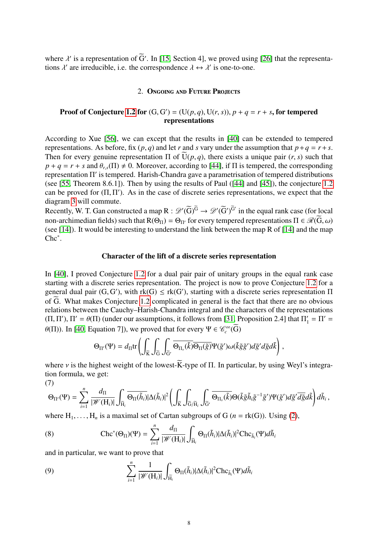where  $\lambda'$  is a representation of  $\tilde{G}'$ . In [\[15,](#page-9-3) Section 4], we proved using [\[26\]](#page-9-21) that the representations  $\lambda'$  are irreducible i.e. the correspondence  $\lambda \leftrightarrow \lambda'$  is one-to-one. tions  $\lambda'$  are irreducible, i.e. the correspondence  $\lambda \leftrightarrow \lambda'$  is one-to-one.

### 2. Ongoing and Future Projects

# Proof of Conjecture [1.2](#page-3-0) for  $(G, G') = (U(p, q), U(r, s)), p + q = r + s$ , for tempered<br>representations representations

According to Xue [\[56\]](#page-10-13), we can except that the results in [\[40\]](#page-10-3) can be extended to tempered representations. As before, fix  $(p, q)$  and let *r* and *s* vary under the assumption that  $p + q = r + s$ . Then for every genuine representation  $\Pi$  of  $\tilde{U}(p,q)$ , there exists a unique pair  $(r, s)$  such that  $p + q = r + s$  and  $\theta_r$ ,  $(\Pi) \neq 0$ . Moreover, according to [\[44\]](#page-10-10), if  $\Pi$  is tempered, the corresponding representation Π' is tempered. Harish-Chandra gave a parametrisation of tempered distributions (see [\[55,](#page-10-8) Theorem 8.6.1]). Then by using the results of Paul ([\[44\]](#page-10-10) and [\[45\]](#page-10-12)), the conjecture [1.2](#page-3-0) can be proved for  $(\Pi, \Pi')$ . As in the case of discrete series representations, we expect that the diagram 3 will commute diagram [3](#page-4-0) will commute.

Recently, W. T. Gan constructed a map  $R : \mathscr{D}'(\widetilde{G})^{\widetilde{G}} \to \mathscr{D}'(\widetilde{G}')^{\widetilde{G}'}$  in the equal rank case (for local non-archimedian fields) such that  $R(\Theta_{\Pi}) = \Theta_{\Pi'}$  for every tempered representations  $\Pi \in \mathcal{R}(\overline{G}, \omega)$ (see [\[14\]](#page-9-22)). It would be interesting to understand the link between the map R of [\[14\]](#page-9-22) and the map Chc<sup>∗</sup> .

#### Character of the lift of a discrete series representation

In [\[40\]](#page-10-3), I proved Conjecture [1.2](#page-3-0) for a dual pair pair of unitary groups in the equal rank case starting with a discrete series representation. The project is now to prove Conjecture [1.2](#page-3-0) for a general dual pair  $(G, G')$ , with  $rk(G) \leq rk(G')$ , starting with a discrete series representation  $\Pi$ <br>of  $\widetilde{G}$ . What makes Conjecture 1.2 complicated in general is the fact that there are no obvious of  $\tilde{G}$ . What makes Conjecture [1.2](#page-3-0) complicated in general is the fact that there are no obvious relations between the Cauchy–Harish-Chandra integral and the characters of the representations  $(\Pi, \Pi'), \Pi' = \theta(\Pi)$  (under our assumptions, it follows from [\[31,](#page-9-1) Proposition 2.4] that  $\Pi'_1 = \Pi' = \theta(\Pi)$ . In [40, Equation 71), we request that for every  $\Pi \in \mathcal{C}^{\infty}(\overline{\Omega})$ . θ(Π)). In [\[40,](#page-10-3) Equation 7]), we proved that for every Ψ ∈  $\mathcal{C}_c^{\infty}(\tilde{G})$ 

$$
\Theta_{\Pi'}(\Psi) = d_{\Pi} \text{tr} \left( \int_{\widetilde{K}} \int_{\widetilde{G}} \int_{\widetilde{G}'} \overline{\Theta_{\Pi_{\nu}}(\widetilde{k})} \overline{\Theta_{\Pi}(\widetilde{g})} \Psi(\widetilde{g}') \omega(\widetilde{k} \widetilde{g} \widetilde{g}') d\widetilde{g}' d\widetilde{g} d\widetilde{k} \right),
$$

where *v* is the highest weight of the lowest-K-type of  $\Pi$ . In particular, by using Weyl's integration formula, we get: (7)

$$
\Theta_{\Pi'}(\Psi)=\sum_{i=1}^n\frac{d_{\Pi}}{|\mathscr{W}(\mathbf{H}_i)|}\int_{\widetilde{\mathbf{H}}_i}\overline{\Theta_{\Pi}(\widetilde{h}_i)}|\Delta(\widetilde{h}_i)|^2\left(\int_{\widetilde{\mathbf{K}}}\int_{\widetilde{\mathbf{G}}/\widetilde{\mathbf{H}}_i}\int_{\widetilde{\mathbf{G}'}}\overline{\Theta_{\Pi_{\nu}}(\widetilde{k})}\Theta(\widetilde{k}\widetilde{g}\widetilde{h}_i\widetilde{g}^{-1}\widetilde{g}')\Psi(\widetilde{g}')d\widetilde{g}'\overline{d\widetilde{g}}d\widetilde{k}\right)d\widetilde{h}_i\,,
$$

where  $H_1, \ldots, H_n$  is a maximal set of Cartan subgroups of G ( $n = rk(G)$ ). Using [\(2\)](#page-3-1),

(8) 
$$
\operatorname{Chc}^*(\Theta_{\Pi})(\Psi) = \sum_{i=1}^n \frac{d_{\Pi}}{|\mathscr{W}(\mathbf{H}_i)|} \int_{\widetilde{\mathbf{H}}_i} \Theta_{\Pi}(\widetilde{h}_i) |\Delta(\widetilde{h}_i)|^2 \operatorname{Chc}_{\widetilde{h}_i}(\Psi) d\widetilde{h}_i
$$

and in particular, we want to prove that

(9) 
$$
\sum_{i=1}^{n} \frac{1}{|\mathscr{W}(\mathbf{H}_{i})|} \int_{\widetilde{\mathbf{H}}_{i}} \Theta_{\Pi}(\widetilde{h}_{i}) |\Delta(\widetilde{h}_{i})|^{2} \mathrm{Chc}_{\widetilde{h}_{i}}(\Psi) d\widetilde{h}_{i}
$$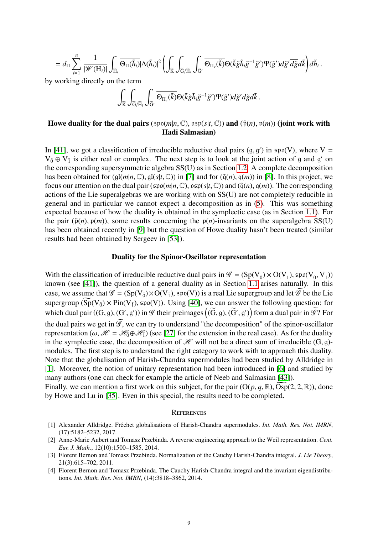$$
=d_{\Pi}\sum_{i=1}^n\frac{1}{|\mathscr{W}(\mathbf{H}_i)|}\int_{\widetilde{\mathbf{H}}_i}\overline{\Theta_{\Pi}(\widetilde{h}_i)}|\Delta(\widetilde{h}_i)|^2\left(\int_{\widetilde{\mathbf{K}}}\int_{\widetilde{\mathbf{G}}/\widetilde{\mathbf{H}}_i}\int_{\widetilde{\mathbf{G}}'}\overline{\Theta_{\Pi_{\nu}}(\widetilde{k})}\Theta(\widetilde{k}\widetilde{g}\widetilde{h}_i\widetilde{g}^{-1}\widetilde{g}')\Psi(\widetilde{g}')d\widetilde{g}'\overline{d\widetilde{g}}d\widetilde{k}\right)d\widetilde{h}_i\,.
$$

by working directly on the term

$$
\int_{\widetilde{K}}\int_{\widetilde{G}/\widetilde{H}_i}\int_{\widetilde{G}'}\overline{\Theta_{\Pi_{\nu}}(\widetilde{k})}\Theta(\widetilde{k}\widetilde{g}\widetilde{h}_i\widetilde{g}^{-1}\widetilde{g}')\Psi(\widetilde{g}')d\widetilde{g}'\overline{d\widetilde{g}}d\widetilde{k}\ .
$$

# Howe duality for the dual pairs ( $\text{spo}(m|n, \mathbb{C})$ ,  $\text{osp}(s|t, \mathbb{C})$ ) and  $(\tilde{p}(n), p(m))$  (joint work with Hadi Salmasian)

In [\[41\]](#page-10-4), we got a classification of irreducible reductive dual pairs  $(g, g')$  in  $\mathfrak{sp}(V)$ , where  $V = V_{\overline{g}} \oplus V_{\overline{g}}$  is either real or complex. The next step is to look at the joint action of g and g' on  $V_{\bar{0}} \oplus V_{\bar{1}}$  is either real or complex. The next step is to look at the joint action of g and g' on the corresponding supersymmetric algebra SS(U) as in Section [1.2.](#page-5-0) A complete decomposition has been obtained for  $(gI(m|n, \mathbb{C}), gI(s|t, \mathbb{C}))$  in [\[7\]](#page-9-23) and for  $(\tilde{q}(n), q(m))$  in [\[8\]](#page-9-20). In this project, we focus our attention on the dual pair ( $\mathfrak{spo}(m|n,\mathbb{C})$ ,  $\mathfrak{osp}(s|t,\mathbb{C})$ ) and ( $\tilde{q}(n)$ ,  $q(m)$ ). The corresponding actions of the Lie superalgebras we are working with on SS(U) are not completely reducible in general and in particular we cannot expect a decomposition as in [\(5\)](#page-5-1). This was something expected because of how the duality is obtained in the symplectic case (as in Section [1.1\)](#page-0-0). For the pair  $(\tilde{p}(n), p(m))$ , some results concerning the  $p(n)$ -invariants on the superalgebra SS(U) has been obtained recently in [\[9\]](#page-9-24) but the question of Howe duality hasn't been treated (similar results had been obtained by Sergeev in [\[53\]](#page-10-22)).

### Duality for the Spinor-Oscillator representation

With the classification of irreducible reductive dual pairs in  $\mathscr{G} = (Sp(V_{\overline{0}}) \times O(V_{\overline{1}}), spo(V_{\overline{0}}, V_{\overline{1}}))$ <br>known (see [411]) the question of a general duality as in Section 1.1 arises naturally. In this known (see [\[41\]](#page-10-4)), the question of a general duality as in Section [1.1](#page-0-0) arises naturally. In this case, we assume that  $\mathscr{G} = (Sp(V_{\bar{0}}) \times O(V_{\bar{1}}), sp(0(V))$  is a real Lie supergroup and let  $\mathscr{G}$  be the Lie supergroup  $(\widetilde{Sp}(V_{\bar{0}}) \times Pin(V_{\bar{1}}), spo(V))$ . Using [\[40\]](#page-10-3), we can answer the following question: for which dual pair  $((G, g), (G', g'))$  in  $\mathscr G$  their preimages  $((\widetilde{G}, g), (\widetilde{G}', g'))$  form a dual pair in  $\widetilde{\mathscr G}$ ? For the dual pairs we get in  $\widetilde{\mathscr{G}}$ , we can try to understand "the decomposition" of the spinor-oscillator representation ( $\omega$ ,  $\mathcal{H} = \mathcal{H}_0 \oplus \mathcal{H}_1$ ) (see [\[27\]](#page-9-25) for the extension in the real case). As for the duality in the symplectic case, the decomposition of  $\mathcal{H}$  will not be a direct sum of irreducible (G, g)modules. The first step is to understand the right category to work with to approach this duality. Note that the globalisation of Harish-Chandra supermodules had been studied by Alldridge in [\[1\]](#page-8-3). Moreover, the notion of unitary representation had been introduced in [\[6\]](#page-9-26) and studied by many authors (one can check for example the article of Neeb and Salmasian [\[43\]](#page-10-23)). Finally, we can mention a first work on this subject, for the pair  $(O(p, q, \mathbb{R}), Osp(2, 2, \mathbb{R}))$ , done by Howe and Lu in [\[35\]](#page-10-24). Even in this special, the results need to be completed.

#### **REFERENCES**

- <span id="page-8-3"></span>[1] Alexander Alldridge. Fréchet globalisations of Harish-Chandra supermodules. *Int. Math. Res. Not. IMRN*, (17):5182–5232, 2017.
- <span id="page-8-0"></span>[2] Anne-Marie Aubert and Tomasz Przebinda. A reverse engineering approach to the Weil representation. *Cent. Eur. J. Math.*, 12(10):1500–1585, 2014.
- <span id="page-8-2"></span>[3] Florent Bernon and Tomasz Przebinda. Normalization of the Cauchy Harish-Chandra integral. *J. Lie Theory*, 21(3):615–702, 2011.
- <span id="page-8-1"></span>[4] Florent Bernon and Tomasz Przebinda. The Cauchy Harish-Chandra integral and the invariant eigendistributions. *Int. Math. Res. Not. IMRN*, (14):3818–3862, 2014.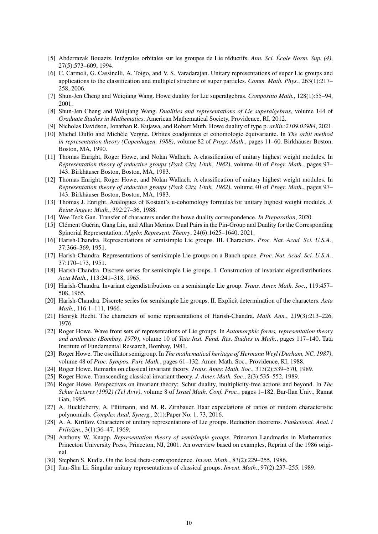- <span id="page-9-15"></span>[5] Abderrazak Bouaziz. Intégrales orbitales sur les groupes de Lie réductifs. *Ann. Sci. École Norm. Sup. (4)*, 27(5):573–609, 1994.
- <span id="page-9-26"></span>[6] C. Carmeli, G. Cassinelli, A. Toigo, and V. S. Varadarajan. Unitary representations of super Lie groups and applications to the classification and multiplet structure of super particles. *Comm. Math. Phys.*, 263(1):217– 258, 2006.
- <span id="page-9-23"></span>[7] Shun-Jen Cheng and Weiqiang Wang. Howe duality for Lie superalgebras. *Compositio Math.*, 128(1):55–94, 2001.
- <span id="page-9-20"></span>[8] Shun-Jen Cheng and Weiqiang Wang. *Dualities and representations of Lie superalgebras*, volume 144 of *Graduate Studies in Mathematics*. American Mathematical Society, Providence, RI, 2012.
- <span id="page-9-24"></span>[9] Nicholas Davidson, Jonathan R. Kujawa, and Robert Muth. Howe duality of type p. *arXiv:2109.03984*, 2021.
- <span id="page-9-14"></span>[10] Michel Duflo and Michèle Vergne. Orbites coadjointes et cohomologie équivariante. In *The orbit method in representation theory (Copenhagen, 1988)*, volume 82 of *Progr. Math.*, pages 11–60. Birkhäuser Boston, Boston, MA, 1990.
- <span id="page-9-2"></span>[11] Thomas Enright, Roger Howe, and Nolan Wallach. A classification of unitary highest weight modules. In *Representation theory of reductive groups (Park City, Utah, 1982)*, volume 40 of *Progr. Math.*, pages 97– 143. Birkhäuser Boston, Boston, MA, 1983.
- <span id="page-9-18"></span>[12] Thomas Enright, Roger Howe, and Nolan Wallach. A classification of unitary highest weight modules. In *Representation theory of reductive groups (Park City, Utah, 1982)*, volume 40 of *Progr. Math.*, pages 97– 143. Birkhäuser Boston, Boston, MA, 1983.
- <span id="page-9-12"></span>[13] Thomas J. Enright. Analogues of Kostant's u-cohomology formulas for unitary highest weight modules. *J. Reine Angew. Math.*, 392:27–36, 1988.
- <span id="page-9-22"></span>[14] Wee Teck Gan. Transfer of characters under the howe duality correspondence. *In Preparation*, 2020.
- <span id="page-9-3"></span>[15] Clément Guérin, Gang Liu, and Allan Merino. Dual Pairs in the Pin-Group and Duality for the Corresponding Spinorial Representation. *Algebr. Represent. Theory*, 24(6):1625–1640, 2021.
- <span id="page-9-5"></span>[16] Harish-Chandra. Representations of semisimple Lie groups. III. Characters. *Proc. Nat. Acad. Sci. U.S.A.*, 37:366–369, 1951.
- <span id="page-9-4"></span>[17] Harish-Chandra. Representations of semisimple Lie groups on a Banch space. *Proc. Nat. Acad. Sci. U.S.A.*, 37:170–173, 1951.
- <span id="page-9-7"></span>[18] Harish-Chandra. Discrete series for semisimple Lie groups. I. Construction of invariant eigendistributions. *Acta Math.*, 113:241–318, 1965.
- <span id="page-9-6"></span>[19] Harish-Chandra. Invariant eigendistributions on a semisimple Lie group. *Trans. Amer. Math. Soc.*, 119:457– 508, 1965.
- <span id="page-9-8"></span>[20] Harish-Chandra. Discrete series for semisimple Lie groups. II. Explicit determination of the characters. *Acta Math.*, 116:1–111, 1966.
- <span id="page-9-9"></span>[21] Henryk Hecht. The characters of some representations of Harish-Chandra. *Math. Ann.*, 219(3):213–226, 1976.
- <span id="page-9-17"></span>[22] Roger Howe. Wave front sets of representations of Lie groups. In *Automorphic forms, representation theory and arithmetic (Bombay, 1979)*, volume 10 of *Tata Inst. Fund. Res. Studies in Math.*, pages 117–140. Tata Institute of Fundamental Research, Bombay, 1981.
- <span id="page-9-13"></span>[23] Roger Howe. The oscillator semigroup. In *The mathematical heritage of Hermann Weyl (Durham, NC, 1987)*, volume 48 of *Proc. Sympos. Pure Math.*, pages 61–132. Amer. Math. Soc., Providence, RI, 1988.
- <span id="page-9-19"></span>[24] Roger Howe. Remarks on classical invariant theory. *Trans. Amer. Math. Soc.*, 313(2):539–570, 1989.
- <span id="page-9-0"></span>[25] Roger Howe. Transcending classical invariant theory. *J. Amer. Math. Soc.*, 2(3):535–552, 1989.
- <span id="page-9-21"></span>[26] Roger Howe. Perspectives on invariant theory: Schur duality, multiplicity-free actions and beyond. In *The Schur lectures (1992) (Tel Aviv)*, volume 8 of *Israel Math. Conf. Proc.*, pages 1–182. Bar-Ilan Univ., Ramat Gan, 1995.
- <span id="page-9-25"></span>[27] A. Huckleberry, A. Püttmann, and M. R. Zirnbauer. Haar expectations of ratios of random characteristic polynomials. *Complex Anal. Synerg.*, 2(1):Paper No. 1, 73, 2016.
- <span id="page-9-10"></span>[28] A. A. Kirillov. Characters of unitary representations of Lie groups. Reduction theorems. *Funkcional. Anal. i Priložen.*, 3(1):36–47, 1969.
- <span id="page-9-11"></span>[29] Anthony W. Knapp. *Representation theory of semisimple groups*. Princeton Landmarks in Mathematics. Princeton University Press, Princeton, NJ, 2001. An overview based on examples, Reprint of the 1986 original.
- <span id="page-9-16"></span>[30] Stephen S. Kudla. On the local theta-correspondence. *Invent. Math.*, 83(2):229–255, 1986.
- <span id="page-9-1"></span>[31] Jian-Shu Li. Singular unitary representations of classical groups. *Invent. Math.*, 97(2):237–255, 1989.